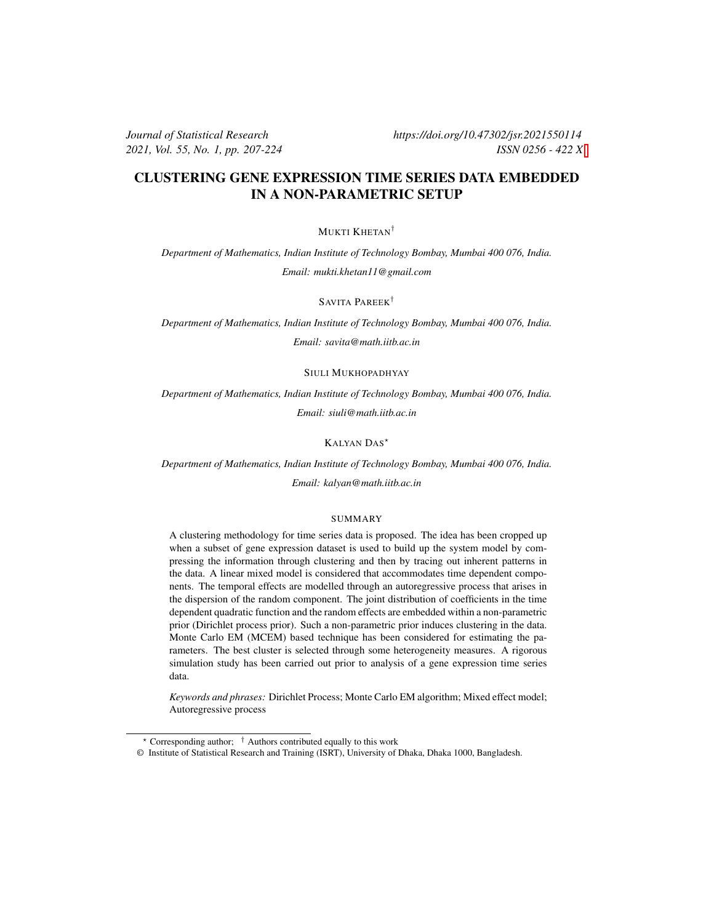## CLUSTERING GENE EXPRESSION TIME SERIES DATA EMBEDDED IN A NON-PARAMETRIC SETUP

#### MUKTI KHETAN†

*Department of Mathematics, Indian Institute of Technology Bombay, Mumbai 400 076, India. Email: mukti.khetan11@gmail.com*

SAVITA PAREEK†

*Department of Mathematics, Indian Institute of Technology Bombay, Mumbai 400 076, India. Email: savita@math.iitb.ac.in*

#### SIULI MUKHOPADHYAY

*Department of Mathematics, Indian Institute of Technology Bombay, Mumbai 400 076, India.*

*Email: siuli@math.iitb.ac.in*

#### KALYAN DAS<sup>\*</sup>

*Department of Mathematics, Indian Institute of Technology Bombay, Mumbai 400 076, India.*

*Email: kalyan@math.iitb.ac.in*

#### **SUMMARY**

A clustering methodology for time series data is proposed. The idea has been cropped up when a subset of gene expression dataset is used to build up the system model by compressing the information through clustering and then by tracing out inherent patterns in the data. A linear mixed model is considered that accommodates time dependent components. The temporal effects are modelled through an autoregressive process that arises in the dispersion of the random component. The joint distribution of coefficients in the time dependent quadratic function and the random effects are embedded within a non-parametric prior (Dirichlet process prior). Such a non-parametric prior induces clustering in the data. Monte Carlo EM (MCEM) based technique has been considered for estimating the parameters. The best cluster is selected through some heterogeneity measures. A rigorous simulation study has been carried out prior to analysis of a gene expression time series data.

*Keywords and phrases:* Dirichlet Process; Monte Carlo EM algorithm; Mixed effect model; Autoregressive process

 $\star$  Corresponding author;  $\dagger$  Authors contributed equally to this work

<sup>©</sup> Institute of Statistical Research and Training (ISRT), University of Dhaka, Dhaka 1000, Bangladesh.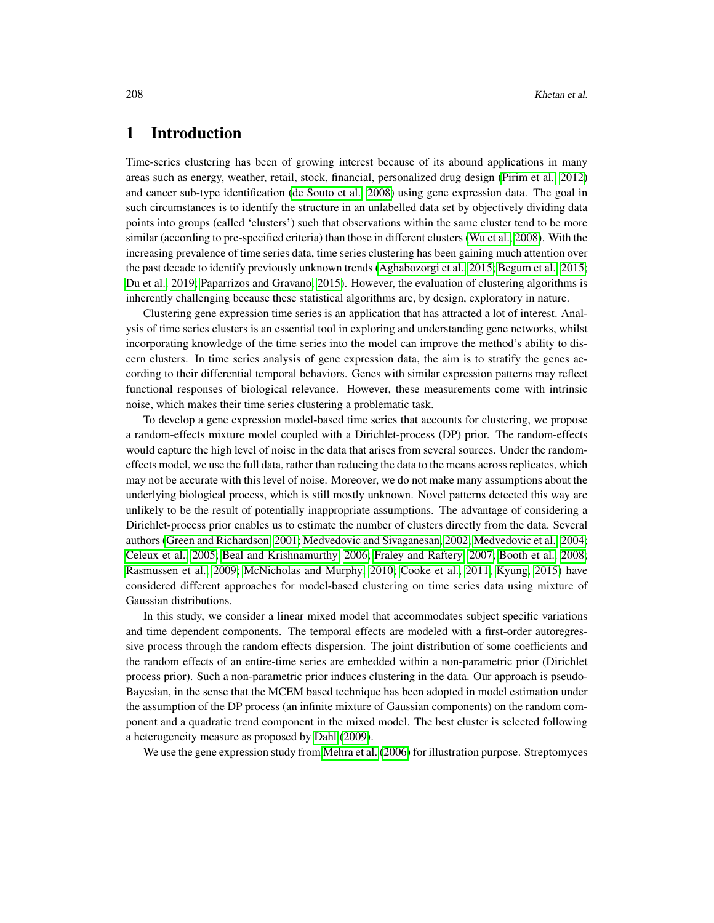## 1 Introduction

Time-series clustering has been of growing interest because of its abound applications in many areas such as energy, weather, retail, stock, financial, personalized drug design [\(Pirim et al., 2012\)](#page-17-0) and cancer sub-type identification [\(de Souto et al., 2008\)](#page-16-0) using gene expression data. The goal in such circumstances is to identify the structure in an unlabelled data set by objectively dividing data points into groups (called 'clusters') such that observations within the same cluster tend to be more similar (according to pre-specified criteria) than those in different clusters [\(Wu et al., 2008\)](#page-17-1). With the increasing prevalence of time series data, time series clustering has been gaining much attention over the past decade to identify previously unknown trends [\(Aghabozorgi et al., 2015;](#page-15-0) [Begum et al., 2015;](#page-16-1) [Du et al., 2019;](#page-16-2) [Paparrizos and Gravano, 2015\)](#page-17-2). However, the evaluation of clustering algorithms is inherently challenging because these statistical algorithms are, by design, exploratory in nature.

Clustering gene expression time series is an application that has attracted a lot of interest. Analysis of time series clusters is an essential tool in exploring and understanding gene networks, whilst incorporating knowledge of the time series into the model can improve the method's ability to discern clusters. In time series analysis of gene expression data, the aim is to stratify the genes according to their differential temporal behaviors. Genes with similar expression patterns may reflect functional responses of biological relevance. However, these measurements come with intrinsic noise, which makes their time series clustering a problematic task.

To develop a gene expression model-based time series that accounts for clustering, we propose a random-effects mixture model coupled with a Dirichlet-process (DP) prior. The random-effects would capture the high level of noise in the data that arises from several sources. Under the randomeffects model, we use the full data, rather than reducing the data to the means across replicates, which may not be accurate with this level of noise. Moreover, we do not make many assumptions about the underlying biological process, which is still mostly unknown. Novel patterns detected this way are unlikely to be the result of potentially inappropriate assumptions. The advantage of considering a Dirichlet-process prior enables us to estimate the number of clusters directly from the data. Several authors [\(Green and Richardson, 2001;](#page-16-3) [Medvedovic and Sivaganesan, 2002;](#page-17-3) [Medvedovic et al., 2004;](#page-17-4) [Celeux et al., 2005;](#page-16-4) [Beal and Krishnamurthy, 2006;](#page-16-5) [Fraley and Raftery, 2007;](#page-16-6) [Booth et al., 2008;](#page-16-7) [Rasmussen et al., 2009;](#page-17-5) [McNicholas and Murphy, 2010;](#page-17-6) [Cooke et al., 2011;](#page-16-8) [Kyung, 2015\)](#page-16-9) have considered different approaches for model-based clustering on time series data using mixture of Gaussian distributions.

In this study, we consider a linear mixed model that accommodates subject specific variations and time dependent components. The temporal effects are modeled with a first-order autoregressive process through the random effects dispersion. The joint distribution of some coefficients and the random effects of an entire-time series are embedded within a non-parametric prior (Dirichlet process prior). Such a non-parametric prior induces clustering in the data. Our approach is pseudo-Bayesian, in the sense that the MCEM based technique has been adopted in model estimation under the assumption of the DP process (an infinite mixture of Gaussian components) on the random component and a quadratic trend component in the mixed model. The best cluster is selected following a heterogeneity measure as proposed by [Dahl](#page-16-10) [\(2009\)](#page-16-10).

We use the gene expression study from [Mehra et al.](#page-17-7) [\(2006\)](#page-17-7) for illustration purpose. Streptomyces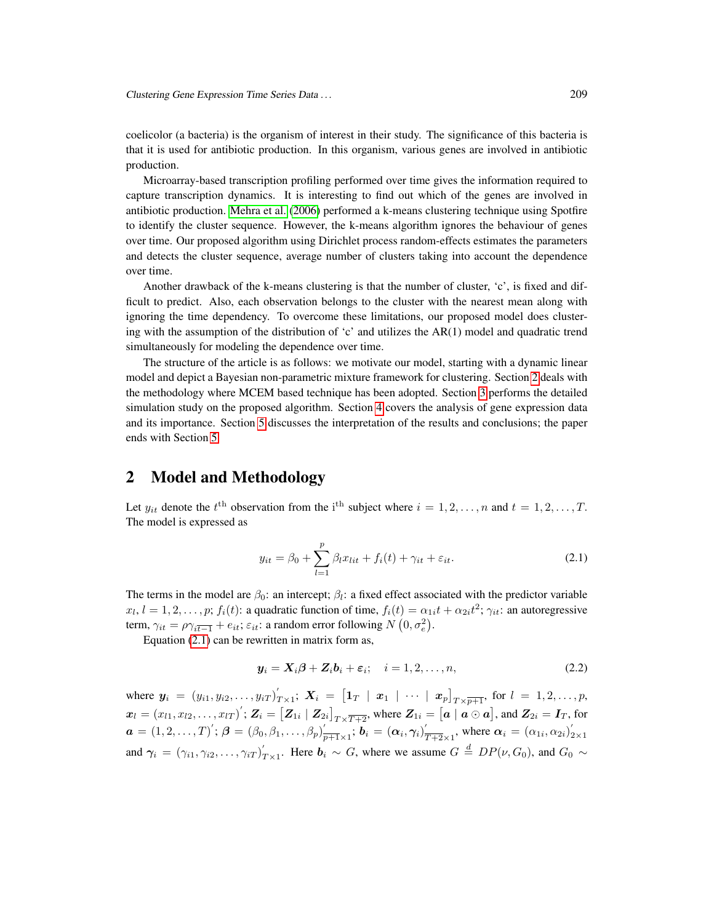coelicolor (a bacteria) is the organism of interest in their study. The significance of this bacteria is that it is used for antibiotic production. In this organism, various genes are involved in antibiotic production.

Microarray-based transcription profiling performed over time gives the information required to capture transcription dynamics. It is interesting to find out which of the genes are involved in antibiotic production. [Mehra et al.](#page-17-7) [\(2006\)](#page-17-7) performed a k-means clustering technique using Spotfire to identify the cluster sequence. However, the k-means algorithm ignores the behaviour of genes over time. Our proposed algorithm using Dirichlet process random-effects estimates the parameters and detects the cluster sequence, average number of clusters taking into account the dependence over time.

Another drawback of the k-means clustering is that the number of cluster, 'c', is fixed and difficult to predict. Also, each observation belongs to the cluster with the nearest mean along with ignoring the time dependency. To overcome these limitations, our proposed model does clustering with the assumption of the distribution of 'c' and utilizes the AR(1) model and quadratic trend simultaneously for modeling the dependence over time.

The structure of the article is as follows: we motivate our model, starting with a dynamic linear model and depict a Bayesian non-parametric mixture framework for clustering. Section [2](#page-2-0) deals with the methodology where MCEM based technique has been adopted. Section [3](#page-8-0) performs the detailed simulation study on the proposed algorithm. Section [4](#page-10-0) covers the analysis of gene expression data and its importance. Section [5](#page-13-0) discusses the interpretation of the results and conclusions; the paper ends with Section [5.](#page-13-0)

# <span id="page-2-0"></span>2 Model and Methodology

Let  $y_{it}$  denote the  $t^{\text{th}}$  observation from the i<sup>th</sup> subject where  $i = 1, 2, ..., n$  and  $t = 1, 2, ..., T$ . The model is expressed as

<span id="page-2-1"></span>
$$
y_{it} = \beta_0 + \sum_{l=1}^{p} \beta_l x_{lit} + f_i(t) + \gamma_{it} + \varepsilon_{it}.
$$
 (2.1)

The terms in the model are  $\beta_0$ : an intercept;  $\beta_l$ : a fixed effect associated with the predictor variable  $x_l$ ,  $l = 1, 2, \ldots, p$ ;  $f_i(t)$ : a quadratic function of time,  $f_i(t) = \alpha_{1i}t + \alpha_{2i}t^2$ ;  $\gamma_{it}$ : an autoregressive term,  $\gamma_{it} = \rho \gamma_{i\overline{t-1}} + e_{it}; \varepsilon_{it}:$  a random error following  $N\left(0, \sigma_e^2\right)$ .

Equation [\(2.1\)](#page-2-1) can be rewritten in matrix form as,

$$
\mathbf{y}_i = \mathbf{X}_i \boldsymbol{\beta} + \mathbf{Z}_i \mathbf{b}_i + \boldsymbol{\varepsilon}_i; \quad i = 1, 2, \dots, n,
$$
 (2.2)

where  $y_i = (y_{i1}, y_{i2}, \dots, y_{iT})'_{T \times 1}$ ;  $\bm{X}_i = [\bm{1}_T \mid \bm{x}_1 \mid \cdots \mid \bm{x}_p]_{T \times \overline{p+1}}$ , for  $l = 1, 2, \dots, p$ ,  $\boldsymbol{x}_l = (x_{l1}, x_{l2}, \dots, x_{lT})$ ;  $\boldsymbol{Z}_i = [\boldsymbol{Z}_{1i} | \boldsymbol{Z}_{2i}]_{T \times \overline{T+2}}$ , where  $\boldsymbol{Z}_{1i} = [\boldsymbol{a} | \boldsymbol{a} \odot \boldsymbol{a}]$ , and  $\boldsymbol{Z}_{2i} = \boldsymbol{I}_T$ , for  $\boldsymbol{a} \, = \, (1,2,\ldots,T)^{\prime}; \, \boldsymbol{\beta} \, = \, (\beta_0, \beta_1, \ldots, \beta_p)^\prime_{\tau}$  $\frac{\partial}{\partial p+1 \times 1}; \, \bm{b}_i \, = \, (\bm{\alpha}_i, \bm{\gamma}_i)^{\prime}_i$  $\frac{\sigma}{T+2\times1}$ , where  $\alpha_i = (\alpha_{1i}, \alpha_{2i})'_{2\times1}$ and  $\gamma_i = (\gamma_{i1}, \gamma_{i2}, \dots, \gamma_{iT})'_{T \times 1}$ . Here  $b_i \sim G$ , where we assume  $G \stackrel{d}{=} DP(\nu, G_0)$ , and  $G_0 \sim$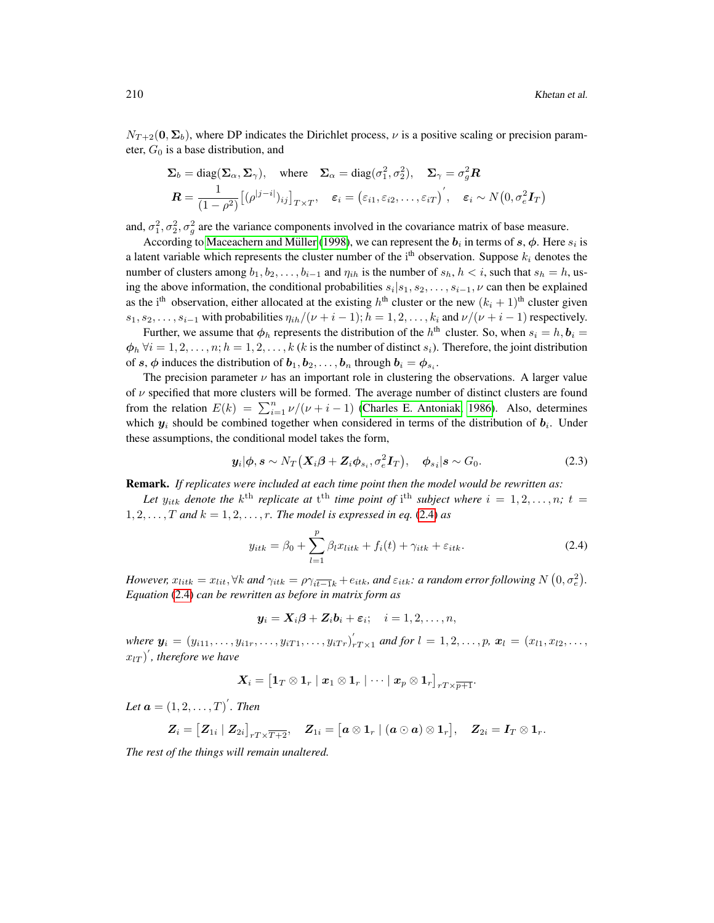$N_{T+2}(\mathbf{0}, \Sigma_b)$ , where DP indicates the Dirichlet process,  $\nu$  is a positive scaling or precision parameter,  $G_0$  is a base distribution, and

$$
\Sigma_b = \text{diag}(\Sigma_\alpha, \Sigma_\gamma), \text{ where } \Sigma_\alpha = \text{diag}(\sigma_1^2, \sigma_2^2), \Sigma_\gamma = \sigma_g^2 \mathbf{R}
$$

$$
\mathbf{R} = \frac{1}{(1 - \rho^2)} \big[ (\rho^{|j - i|})_{ij} \big]_{T \times T}, \quad \varepsilon_i = \left( \varepsilon_{i1}, \varepsilon_{i2}, \dots, \varepsilon_{iT} \right)', \quad \varepsilon_i \sim N\big(0, \sigma_e^2 \mathbf{I}_T\big)
$$

and,  $\sigma_1^2$ ,  $\sigma_2^2$ ,  $\sigma_g^2$  are the variance components involved in the covariance matrix of base measure.

According to Maceachern and Müller [\(1998\)](#page-17-8), we can represent the  $b_i$  in terms of  $s, \phi$ . Here  $s_i$  is a latent variable which represents the cluster number of the  $i<sup>th</sup>$  observation. Suppose  $k<sub>i</sub>$  denotes the number of clusters among  $b_1, b_2, \ldots, b_{i-1}$  and  $\eta_{ih}$  is the number of  $s_h$ ,  $h < i$ , such that  $s_h = h$ , using the above information, the conditional probabilities  $s_i | s_1, s_2, \ldots, s_{i-1}, \nu$  can then be explained as the i<sup>th</sup> observation, either allocated at the existing  $h<sup>th</sup>$  cluster or the new  $(k_i + 1)<sup>th</sup>$  cluster given  $s_1, s_2, \ldots, s_{i-1}$  with probabilities  $\eta_{ih}/(\nu + i - 1)$ ;  $h = 1, 2, \ldots, k_i$  and  $\nu/(\nu + i - 1)$  respectively.

Further, we assume that  $\phi_h$  represents the distribution of the  $h^{\text{th}}$  cluster. So, when  $s_i = h, b_i =$  $\phi_h \forall i = 1, 2, \ldots, n; h = 1, 2, \ldots, k$  (k is the number of distinct  $s_i$ ). Therefore, the joint distribution of  $s, \phi$  induces the distribution of  $b_1, b_2, \ldots, b_n$  through  $b_i = \phi_{s_i}$ .

The precision parameter  $\nu$  has an important role in clustering the observations. A larger value of  $\nu$  specified that more clusters will be formed. The average number of distinct clusters are found from the relation  $E(k) = \sum_{i=1}^{n} \nu/(\nu + i - 1)$  [\(Charles E. Antoniak, 1986\)](#page-16-11). Also, determines which  $y_i$  should be combined together when considered in terms of the distribution of  $b_i$ . Under these assumptions, the conditional model takes the form,

<span id="page-3-1"></span>
$$
\boldsymbol{y}_i|\boldsymbol{\phi}, \boldsymbol{s} \sim N_T\big(\boldsymbol{X}_i\boldsymbol{\beta} + \boldsymbol{Z}_i\boldsymbol{\phi}_{s_i}, \sigma_e^2\boldsymbol{I}_T\big), \quad \boldsymbol{\phi}_{s_i}|\boldsymbol{s} \sim G_0. \tag{2.3}
$$

Remark. *If replicates were included at each time point then the model would be rewritten as:*

Let  $y_{itk}$  denote the  $k^{\text{th}}$  replicate at  $t^{\text{th}}$  time point of  $i^{\text{th}}$  subject where  $i = 1, 2, \ldots, n$ ;  $t =$  $1, 2, \ldots, T$  *and*  $k = 1, 2, \ldots, r$ *. The model is expressed in eq.* [\(2.4\)](#page-3-0) *as* 

<span id="page-3-0"></span>
$$
y_{itk} = \beta_0 + \sum_{l=1}^{p} \beta_l x_{litk} + f_i(t) + \gamma_{itk} + \varepsilon_{itk}.
$$
 (2.4)

*However,*  $x_{litk} = x_{lit}$ ,  $\forall k$  and  $\gamma_{itk} = \rho \gamma_{i\overline{t-1}k} + e_{itk}$ , and  $\varepsilon_{itk}$ : a random error following  $N(0, \sigma_e^2)$ . *Equation* [\(2.4\)](#page-3-0) *can be rewritten as before in matrix form as*

$$
\mathbf{y}_i = \mathbf{X}_i \boldsymbol{\beta} + \mathbf{Z}_i \mathbf{b}_i + \boldsymbol{\varepsilon}_i; \quad i = 1, 2, \ldots, n,
$$

where  $y_i = (y_{i11}, \ldots, y_{i1r}, \ldots, y_{iT1}, \ldots, y_{iTr})'_{rT \times 1}$  and for  $l = 1, 2, \ldots, p$ ,  $x_l = (x_{l1}, x_{l2}, \ldots, x_{l1})'_{rT \times 1}$  $x_{lT}$  $\rangle'$ , therefore we have

$$
\boldsymbol{X}_i = \begin{bmatrix} \boldsymbol{1}_T \otimes \boldsymbol{1}_r \mid \boldsymbol{x}_1 \otimes \boldsymbol{1}_r \mid \cdots \mid \boldsymbol{x}_p \otimes \boldsymbol{1}_r \end{bmatrix}_{rT \times \overline{p+1}}.
$$

Let  $\boldsymbol{a} = (1, 2, \dots, T)^T$ *. Then* 

$$
\boldsymbol{Z}_i = \begin{bmatrix} \boldsymbol{Z}_{1i} & \boldsymbol{Z}_{2i} \end{bmatrix}_{rT \times \overline{T+2}}, \quad \boldsymbol{Z}_{1i} = \begin{bmatrix} \boldsymbol{a} \otimes \boldsymbol{1}_r & \boldsymbol{(a} \odot \boldsymbol{a}) \otimes \boldsymbol{1}_r \end{bmatrix}, \quad \boldsymbol{Z}_{2i} = \boldsymbol{I}_T \otimes \boldsymbol{1}_r.
$$

*The rest of the things will remain unaltered.*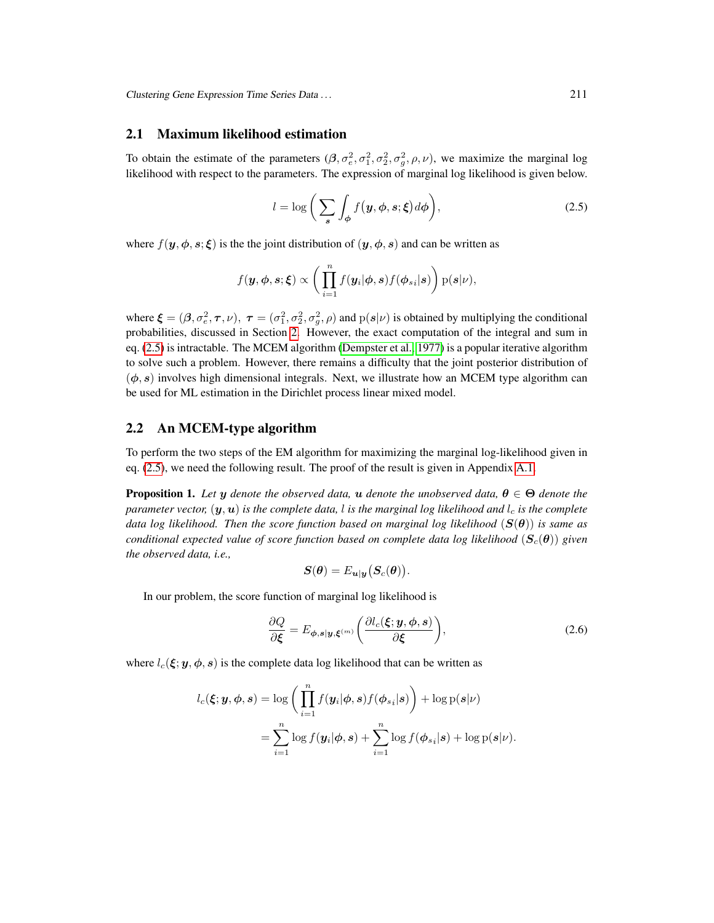### 2.1 Maximum likelihood estimation

To obtain the estimate of the parameters  $(\beta, \sigma_e^2, \sigma_1^2, \sigma_2^2, \sigma_g^2, \rho, \nu)$ , we maximize the marginal log likelihood with respect to the parameters. The expression of marginal log likelihood is given below.

<span id="page-4-0"></span>
$$
l = \log\bigg(\sum_{s} \int_{\phi} f(\mathbf{y}, \phi, s; \xi) d\phi\bigg),\tag{2.5}
$$

where  $f(\mathbf{y}, \phi, \mathbf{s}; \boldsymbol{\xi})$  is the the joint distribution of  $(\mathbf{y}, \phi, \mathbf{s})$  and can be written as

$$
f(\boldsymbol{y},\boldsymbol{\phi},\boldsymbol{s};\boldsymbol{\xi}) \propto \bigg(\prod_{i=1}^n f(\boldsymbol{y}_i|\boldsymbol{\phi},\boldsymbol{s}) f(\boldsymbol{\phi}_{s_i}|\boldsymbol{s})\bigg) p(\boldsymbol{s}|\nu),
$$

where  $\xi = (\beta, \sigma_e^2, \tau, \nu)$ ,  $\tau = (\sigma_1^2, \sigma_2^2, \sigma_g^2, \rho)$  and  $p(s|\nu)$  is obtained by multiplying the conditional probabilities, discussed in Section [2.](#page-2-0) However, the exact computation of the integral and sum in eq. [\(2.5\)](#page-4-0) is intractable. The MCEM algorithm [\(Dempster et al., 1977\)](#page-16-12) is a popular iterative algorithm to solve such a problem. However, there remains a difficulty that the joint posterior distribution of  $(\phi, s)$  involves high dimensional integrals. Next, we illustrate how an MCEM type algorithm can be used for ML estimation in the Dirichlet process linear mixed model.

### <span id="page-4-2"></span>2.2 An MCEM-type algorithm

To perform the two steps of the EM algorithm for maximizing the marginal log-likelihood given in eq. [\(2.5\)](#page-4-0), we need the following result. The proof of the result is given in Appendix [A.1.](#page-14-0)

<span id="page-4-3"></span>**Proposition 1.** Let y denote the observed data, u denote the unobserved data,  $\theta \in \Theta$  denote the *parameter vector,*  $(y, u)$  *is the complete data, l is the marginal log likelihood and*  $l_c$  *is the complete data log likelihood. Then the score function based on marginal log likelihood*  $(S(\theta))$  *is same as conditional expected value of score function based on complete data log likelihood*  $(S_c(\theta))$  *given the observed data, i.e.,*

<span id="page-4-1"></span>
$$
S(\boldsymbol{\theta}) = E_{\boldsymbol{u}|\boldsymbol{y}}(S_c(\boldsymbol{\theta})).
$$

In our problem, the score function of marginal log likelihood is

$$
\frac{\partial Q}{\partial \boldsymbol{\xi}} = E_{\boldsymbol{\phi}, \boldsymbol{s} | \boldsymbol{y}, \boldsymbol{\xi}^{(m)}} \bigg( \frac{\partial l_c(\boldsymbol{\xi}; \boldsymbol{y}, \boldsymbol{\phi}, \boldsymbol{s})}{\partial \boldsymbol{\xi}} \bigg), \tag{2.6}
$$

where  $l_c(\xi; y, \phi, s)$  is the complete data log likelihood that can be written as

$$
l_c(\boldsymbol{\xi}; \boldsymbol{y}, \boldsymbol{\phi}, \boldsymbol{s}) = \log \bigg( \prod_{i=1}^n f(\boldsymbol{y}_i | \boldsymbol{\phi}, \boldsymbol{s}) f(\boldsymbol{\phi}_{s_i} | \boldsymbol{s}) \bigg) + \log p(\boldsymbol{s} | \nu)
$$
  
= 
$$
\sum_{i=1}^n \log f(\boldsymbol{y}_i | \boldsymbol{\phi}, \boldsymbol{s}) + \sum_{i=1}^n \log f(\boldsymbol{\phi}_{s_i} | \boldsymbol{s}) + \log p(\boldsymbol{s} | \nu).
$$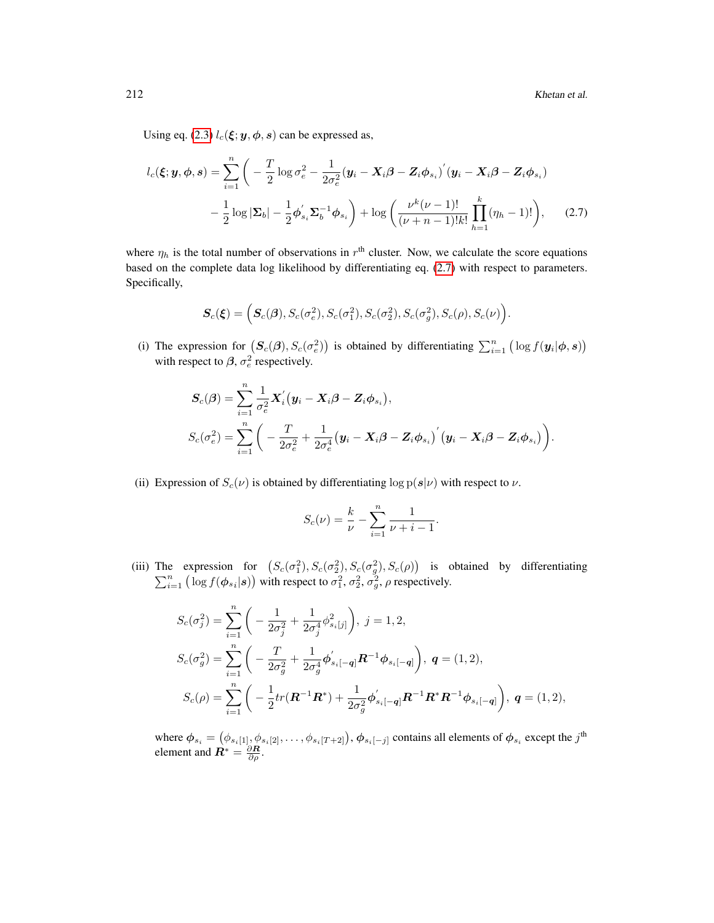Using eq. [\(2.3\)](#page-3-1)  $l_c(\xi; y, \phi, s)$  can be expressed as,

$$
l_c(\xi; \mathbf{y}, \phi, \mathbf{s}) = \sum_{i=1}^n \left( -\frac{T}{2} \log \sigma_e^2 - \frac{1}{2\sigma_e^2} (\mathbf{y}_i - \mathbf{X}_i \boldsymbol{\beta} - \mathbf{Z}_i \phi_{s_i})' (\mathbf{y}_i - \mathbf{X}_i \boldsymbol{\beta} - \mathbf{Z}_i \phi_{s_i}) - \frac{1}{2} \log |\mathbf{\Sigma}_b| - \frac{1}{2} \phi'_{s_i} \mathbf{\Sigma}_b^{-1} \phi_{s_i} \right) + \log \left( \frac{\nu^k (\nu - 1)!}{(\nu + n - 1)! k!} \prod_{h=1}^k (\eta_h - 1)! \right), \tag{2.7}
$$

where  $\eta_h$  is the total number of observations in  $r<sup>th</sup>$  cluster. Now, we calculate the score equations based on the complete data log likelihood by differentiating eq. [\(2.7\)](#page-5-0) with respect to parameters. Specifically,

<span id="page-5-0"></span>
$$
\mathbf{S}_c(\boldsymbol{\xi}) = \Big(\mathbf{S}_c(\boldsymbol{\beta}), S_c(\sigma_e^2), S_c(\sigma_1^2), S_c(\sigma_2^2), S_c(\sigma_g^2), S_c(\rho), S_c(\nu)\Big).
$$

(i) The expression for  $(S_c(\beta), S_c(\sigma_e^2))$  is obtained by differentiating  $\sum_{i=1}^n (\log f(y_i|\phi, s))$ with respect to  $\beta$ ,  $\sigma_e^2$  respectively.

$$
S_c(\boldsymbol{\beta}) = \sum_{i=1}^n \frac{1}{\sigma_e^2} \boldsymbol{X}_i' (\boldsymbol{y}_i - \boldsymbol{X}_i \boldsymbol{\beta} - \boldsymbol{Z}_i \boldsymbol{\phi}_{s_i}),
$$
  
\n
$$
S_c(\sigma_e^2) = \sum_{i=1}^n \bigg( -\frac{T}{2\sigma_e^2} + \frac{1}{2\sigma_e^4} (\boldsymbol{y}_i - \boldsymbol{X}_i \boldsymbol{\beta} - \boldsymbol{Z}_i \boldsymbol{\phi}_{s_i})' (\boldsymbol{y}_i - \boldsymbol{X}_i \boldsymbol{\beta} - \boldsymbol{Z}_i \boldsymbol{\phi}_{s_i}) \bigg).
$$

(ii) Expression of  $S_c(\nu)$  is obtained by differentiating log  $p(s|\nu)$  with respect to  $\nu$ .

$$
S_c(\nu) = \frac{k}{\nu} - \sum_{i=1}^n \frac{1}{\nu + i - 1}.
$$

(iii) The expression for  $(S_c(\sigma_1^2), S_c(\sigma_2^2), S_c(\sigma_g^2), S_c(\rho))$  is obtained by differentiating  $\sum_{i=1}^{n} (\log f(\phi_{s_i} | \bm{s}))$  with respect to  $\sigma_1^2$ ,  $\sigma_2^2$ ,  $\sigma_g^2$ ,  $\rho$  respectively.

$$
S_c(\sigma_j^2) = \sum_{i=1}^n \left( -\frac{1}{2\sigma_j^2} + \frac{1}{2\sigma_j^4} \phi_{s_i[j]}^2 \right), j = 1, 2,
$$
  
\n
$$
S_c(\sigma_g^2) = \sum_{i=1}^n \left( -\frac{T}{2\sigma_g^2} + \frac{1}{2\sigma_g^4} \phi_{s_i[-q]}^{\prime} \mathbf{R}^{-1} \phi_{s_i[-q]} \right), q = (1, 2),
$$
  
\n
$$
S_c(\rho) = \sum_{i=1}^n \left( -\frac{1}{2} tr(\mathbf{R}^{-1} \mathbf{R}^*) + \frac{1}{2\sigma_g^2} \phi_{s_i[-q]}^{\prime} \mathbf{R}^{-1} \mathbf{R}^* \mathbf{R}^{-1} \phi_{s_i[-q]} \right), q = (1, 2),
$$

where  $\phi_{s_i} = (\phi_{s_i[1]}, \phi_{s_i[2]}, \dots, \phi_{s_i[T+2]}), \phi_{s_i[-j]}$  contains all elements of  $\phi_{s_i}$  except the  $j^{\text{th}}$ element and  $\mathbf{R}^* = \frac{\partial \mathbf{R}}{\partial \rho}$ .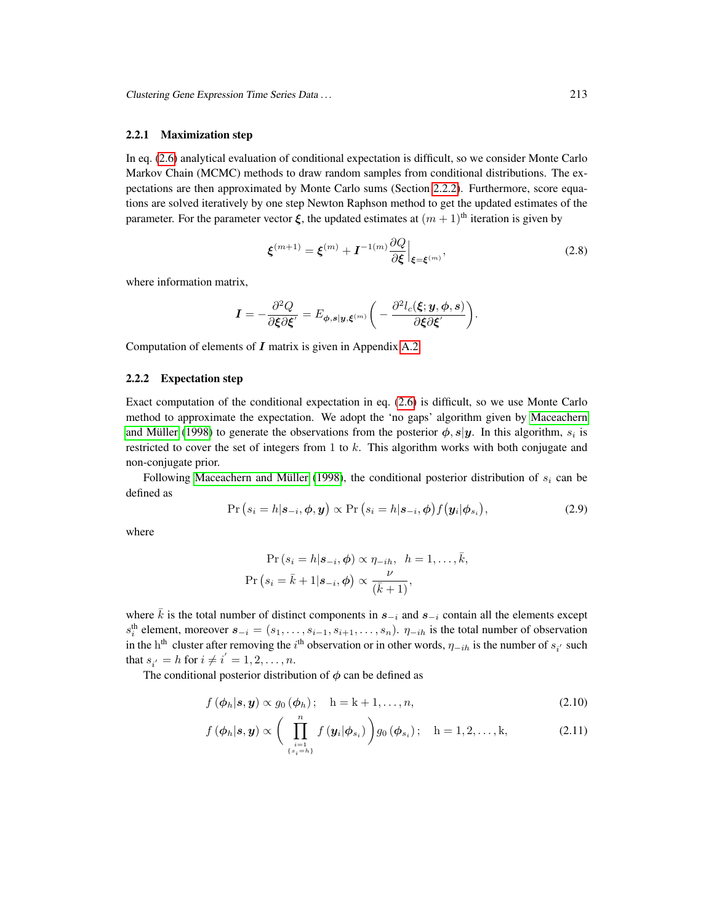#### 2.2.1 Maximization step

In eq. [\(2.6\)](#page-4-1) analytical evaluation of conditional expectation is difficult, so we consider Monte Carlo Markov Chain (MCMC) methods to draw random samples from conditional distributions. The expectations are then approximated by Monte Carlo sums (Section [2.2.2\)](#page-6-0). Furthermore, score equations are solved iteratively by one step Newton Raphson method to get the updated estimates of the parameter. For the parameter vector  $\xi$ , the updated estimates at  $(m + 1)$ <sup>th</sup> iteration is given by

$$
\boldsymbol{\xi}^{(m+1)} = \boldsymbol{\xi}^{(m)} + \boldsymbol{I}^{-1(m)} \frac{\partial Q}{\partial \boldsymbol{\xi}} \Big|_{\boldsymbol{\xi} = \boldsymbol{\xi}^{(m)}},
$$
(2.8)

where information matrix,

$$
\boldsymbol{I} = -\frac{\partial^2 Q}{\partial \boldsymbol{\xi} \partial \boldsymbol{\xi}'} = E_{\boldsymbol{\phi}, \boldsymbol{s} | \boldsymbol{y}, \boldsymbol{\xi}^{(m)}} \bigg( -\frac{\partial^2 l_c(\boldsymbol{\xi}; \boldsymbol{y}, \boldsymbol{\phi}, \boldsymbol{s})}{\partial \boldsymbol{\xi} \partial \boldsymbol{\xi}'} \bigg).
$$

Computation of elements of  $I$  matrix is given in Appendix [A.2.](#page-14-1)

#### <span id="page-6-0"></span>2.2.2 Expectation step

Exact computation of the conditional expectation in eq. [\(2.6\)](#page-4-1) is difficult, so we use Monte Carlo method to approximate the expectation. We adopt the 'no gaps' algorithm given by [Maceachern](#page-17-8) and Müller [\(1998\)](#page-17-8) to generate the observations from the posterior  $\phi$ ,  $s|y$ . In this algorithm,  $s_i$  is restricted to cover the set of integers from 1 to  $k$ . This algorithm works with both conjugate and non-conjugate prior.

Following Maceachern and Müller [\(1998\)](#page-17-8), the conditional posterior distribution of  $s_i$  can be defined as

<span id="page-6-2"></span>
$$
Pr(s_i = h|s_{-i}, \phi, \mathbf{y}) \propto Pr(s_i = h|s_{-i}, \phi) f(\mathbf{y}_i|\phi_{s_i}),
$$
\n(2.9)

where

<span id="page-6-1"></span>
$$
\Pr\left(s_i = h | \mathbf{s}_{-i}, \boldsymbol{\phi}\right) \propto \eta_{-ih}, \ \ h = 1, \dots, \bar{k},
$$
\n
$$
\Pr\left(s_i = \bar{k} + 1 | \mathbf{s}_{-i}, \boldsymbol{\phi}\right) \propto \frac{\nu}{(\bar{k} + 1)},
$$

where  $\bar{k}$  is the total number of distinct components in  $s_{-i}$  and  $s_{-i}$  contain all the elements except  $s_i^{\text{th}}$  element, moreover  $s_{-i} = (s_1, \ldots, s_{i-1}, s_{i+1}, \ldots, s_n)$ .  $\eta_{-ih}$  is the total number of observation in the h<sup>th</sup> cluster after removing the i<sup>th</sup> observation or in other words,  $\eta_{-ih}$  is the number of  $s_{i'}$  such that  $s_{i'} = h$  for  $i \neq i' = 1, 2, ..., n$ .

The conditional posterior distribution of  $\phi$  can be defined as

$$
f(\boldsymbol{\phi}_h|\mathbf{s},\mathbf{y}) \propto g_0(\boldsymbol{\phi}_h); \quad h = k+1,\ldots,n,
$$
\n(2.10)

<span id="page-6-3"></span>
$$
f(\boldsymbol{\phi}_h|\mathbf{s},\mathbf{y}) \propto \bigg(\prod_{\substack{i=1\\ \{s_i=h\}}}^n f(\mathbf{y}_i|\boldsymbol{\phi}_{s_i})\bigg) g_0(\boldsymbol{\phi}_{s_i}); \quad h=1,2,\ldots,k,
$$
\n(2.11)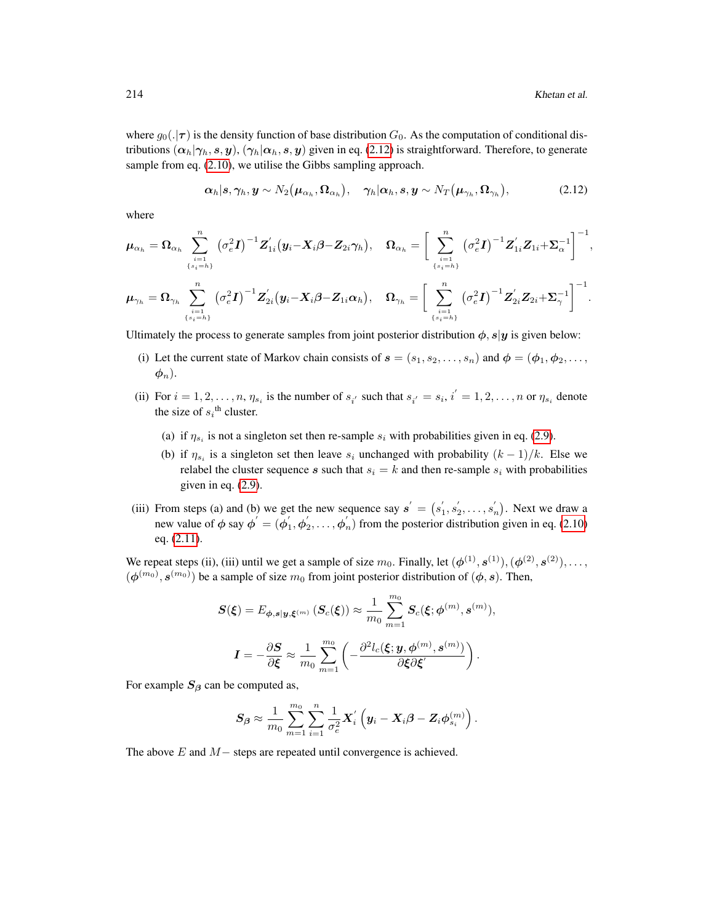where  $g_0(.|\tau)$  is the density function of base distribution  $G_0$ . As the computation of conditional distributions  $(\alpha_h|\gamma_h, s, y)$ ,  $(\gamma_h|\alpha_h, s, y)$  given in eq. [\(2.12\)](#page-7-0) is straightforward. Therefore, to generate sample from eq. [\(2.10\)](#page-6-1), we utilise the Gibbs sampling approach.

<span id="page-7-0"></span>
$$
\boldsymbol{\alpha}_h|\mathbf{s},\boldsymbol{\gamma}_h,\mathbf{y}\sim N_2(\boldsymbol{\mu}_{\alpha_h},\boldsymbol{\Omega}_{\alpha_h}),\quad \boldsymbol{\gamma}_h|\boldsymbol{\alpha}_h,\mathbf{s},\mathbf{y}\sim N_T(\boldsymbol{\mu}_{\gamma_h},\boldsymbol{\Omega}_{\gamma_h}),
$$
(2.12)

where

$$
\boldsymbol{\mu}_{\alpha_h} = \boldsymbol{\Omega}_{\alpha_h} \sum_{\stackrel{i=1}{\{s_i = h\}} }^n \left(\sigma_e^2 \boldsymbol{I} \right)^{-1} \boldsymbol{Z}^{'}_{1i} \big( \boldsymbol{y}_i - \boldsymbol{X}_i \boldsymbol{\beta} - \boldsymbol{Z}_{2i} \gamma_h \big), \quad \boldsymbol{\Omega}_{\alpha_h} = \bigg[ \sum_{\stackrel{i=1}{\{s_i = h\}} }^n \left(\sigma_e^2 \boldsymbol{I} \right)^{-1} \boldsymbol{Z}^{'}_{1i} \boldsymbol{Z}_{1i} + \boldsymbol{\Sigma}_{\alpha}^{-1} \bigg]^{-1},
$$
  

$$
\boldsymbol{\mu}_{\gamma_h} = \boldsymbol{\Omega}_{\gamma_h} \sum_{\stackrel{i=1}{\{s_i = h\}} }^n \left(\sigma_e^2 \boldsymbol{I} \right)^{-1} \boldsymbol{Z}^{'}_{2i} \big( \boldsymbol{y}_i - \boldsymbol{X}_i \boldsymbol{\beta} - \boldsymbol{Z}_{1i} \alpha_h \big), \quad \boldsymbol{\Omega}_{\gamma_h} = \bigg[ \sum_{\stackrel{i=1}{\{s_i = h\}} }^n \left(\sigma_e^2 \boldsymbol{I} \right)^{-1} \boldsymbol{Z}^{'}_{2i} \boldsymbol{Z}_{2i} + \boldsymbol{\Sigma}_{\gamma}^{-1} \bigg]^{-1}.
$$

Ultimately the process to generate samples from joint posterior distribution  $\phi$ ,  $s|y$  is given below:

- (i) Let the current state of Markov chain consists of  $\mathbf{s} = (s_1, s_2, \dots, s_n)$  and  $\phi = (\phi_1, \phi_2, \dots, \phi_n)$  $\phi_n$ ).
- (ii) For  $i = 1, 2, \ldots, n$ ,  $\eta_{s_i}$  is the number of  $s_{i'}$  such that  $s_{i'} = s_i$ ,  $i' = 1, 2, \ldots, n$  or  $\eta_{s_i}$  denote the size of  $s_i$ <sup>th</sup> cluster.
	- (a) if  $\eta_{s_i}$  is not a singleton set then re-sample  $s_i$  with probabilities given in eq. [\(2.9\)](#page-6-2).
	- (b) if  $\eta_{s_i}$  is a singleton set then leave  $s_i$  unchanged with probability  $(k-1)/k$ . Else we relabel the cluster sequence s such that  $s_i = k$  and then re-sample  $s_i$  with probabilities given in eq. [\(2.9\)](#page-6-2).
- (iii) From steps (a) and (b) we get the new sequence say  $s' = (s'_1, s'_2, \dots, s'_n)$ . Next we draw a new value of  $\phi$  say  $\phi' = (\phi'_1, \phi'_2, \dots, \phi'_n)$  from the posterior distribution given in eq. [\(2.10\)](#page-6-1) eq. [\(2.11\)](#page-6-3).

We repeat steps (ii), (iii) until we get a sample of size  $m_0$ . Finally, let  $(\phi^{(1)}, s^{(1)}), (\phi^{(2)}, s^{(2)}), \ldots$ ,  $(\phi^{(m_0)}, s^{(m_0)})$  be a sample of size  $m_0$  from joint posterior distribution of  $(\phi, s)$ . Then,

$$
S(\xi) = E_{\phi, s | y, \xi^{(m)}} (S_c(\xi)) \approx \frac{1}{m_0} \sum_{m=1}^{m_0} S_c(\xi; \phi^{(m)}, s^{(m)}),
$$

$$
I = -\frac{\partial S}{\partial \xi} \approx \frac{1}{m_0} \sum_{m=1}^{m_0} \left( -\frac{\partial^2 l_c(\xi; y, \phi^{(m)}, s^{(m)})}{\partial \xi \partial \xi'} \right).
$$

For example  $S_\beta$  can be computed as,

$$
\boldsymbol{S}_{\boldsymbol{\beta}} \approx \frac{1}{m_0} \sum_{m=1}^{m_0} \sum_{i=1}^n \frac{1}{\sigma_e^2} \boldsymbol{X}_i^\prime \left( \boldsymbol{y}_i - \boldsymbol{X}_i \boldsymbol{\beta} - \boldsymbol{Z}_i \boldsymbol{\phi}_{s_i}^{(m)} \right).
$$

The above  $E$  and  $M-$  steps are repeated until convergence is achieved.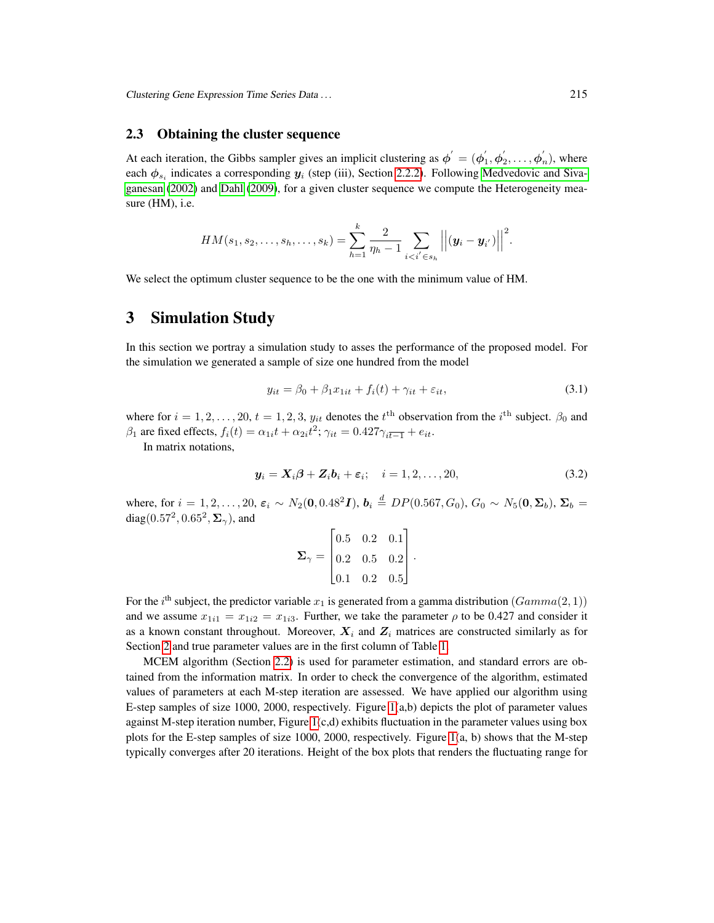Clustering Gene Expression Time Series Data . . . 215

### <span id="page-8-1"></span>2.3 Obtaining the cluster sequence

At each iteration, the Gibbs sampler gives an implicit clustering as  $\phi' = (\phi'_1, \phi'_2, \dots, \phi'_n)$ , where each  $\phi_{s_i}$  indicates a corresponding  $y_i$  (step (iii), Section [2.2.2\)](#page-6-0). Following [Medvedovic and Siva](#page-17-3)[ganesan](#page-17-3) [\(2002\)](#page-17-3) and [Dahl](#page-16-10) [\(2009\)](#page-16-10), for a given cluster sequence we compute the Heterogeneity measure (HM), i.e.

$$
HM(s_1, s_2, \ldots, s_h, \ldots, s_k) = \sum_{h=1}^k \frac{2}{\eta_h - 1} \sum_{i < i' \in s_h} \left| \left| (\boldsymbol{y}_i - \boldsymbol{y}_{i'}) \right| \right|^2.
$$

We select the optimum cluster sequence to be the one with the minimum value of HM.

### <span id="page-8-0"></span>3 Simulation Study

In this section we portray a simulation study to asses the performance of the proposed model. For the simulation we generated a sample of size one hundred from the model

$$
y_{it} = \beta_0 + \beta_1 x_{1it} + f_i(t) + \gamma_{it} + \varepsilon_{it},\tag{3.1}
$$

where for  $i = 1, 2, ..., 20, t = 1, 2, 3, y_{it}$  denotes the  $t<sup>th</sup>$  observation from the  $i<sup>th</sup>$  subject.  $\beta_0$  and  $\beta_1$  are fixed effects,  $f_i(t) = \alpha_{1i}t + \alpha_{2i}t^2$ ;  $\gamma_{it} = 0.427\gamma_{i\overline{t-1}} + e_{it}$ .

In matrix notations,

$$
\mathbf{y}_i = \mathbf{X}_i \boldsymbol{\beta} + \mathbf{Z}_i \mathbf{b}_i + \boldsymbol{\varepsilon}_i; \quad i = 1, 2, \dots, 20,
$$
 (3.2)

where, for  $i = 1, 2, ..., 20$ ,  $\varepsilon_i \sim N_2(\mathbf{0}, 0.48^2\mathbf{I})$ ,  $\mathbf{b}_i \stackrel{d}{=} DP(0.567, G_0)$ ,  $G_0 \sim N_5(\mathbf{0}, \mathbf{\Sigma}_b)$ ,  $\mathbf{\Sigma}_b =$ diag $(0.57^2, 0.65^2, \boldsymbol{\Sigma}_{\gamma}),$  and

$$
\mathbf{\Sigma}_{\gamma} = \begin{bmatrix} 0.5 & 0.2 & 0.1 \\ 0.2 & 0.5 & 0.2 \\ 0.1 & 0.2 & 0.5 \end{bmatrix}.
$$

For the i<sup>th</sup> subject, the predictor variable  $x_1$  is generated from a gamma distribution  $(Gamma(2, 1))$ and we assume  $x_{1i1} = x_{1i2} = x_{1i3}$ . Further, we take the parameter  $\rho$  to be 0.427 and consider it as a known constant throughout. Moreover,  $X_i$  and  $Z_i$  matrices are constructed similarly as for Section [2](#page-3-0) and true parameter values are in the first column of Table [1.](#page-9-0)

MCEM algorithm (Section [2.2\)](#page-4-2) is used for parameter estimation, and standard errors are obtained from the information matrix. In order to check the convergence of the algorithm, estimated values of parameters at each M-step iteration are assessed. We have applied our algorithm using E-step samples of size 1000, 2000, respectively. Figure [1\(](#page-11-0)a,b) depicts the plot of parameter values against M-step iteration number, Figure  $1(c,d)$  exhibits fluctuation in the parameter values using box plots for the E-step samples of size 1000, 2000, respectively. Figure [1\(](#page-11-0)a, b) shows that the M-step typically converges after 20 iterations. Height of the box plots that renders the fluctuating range for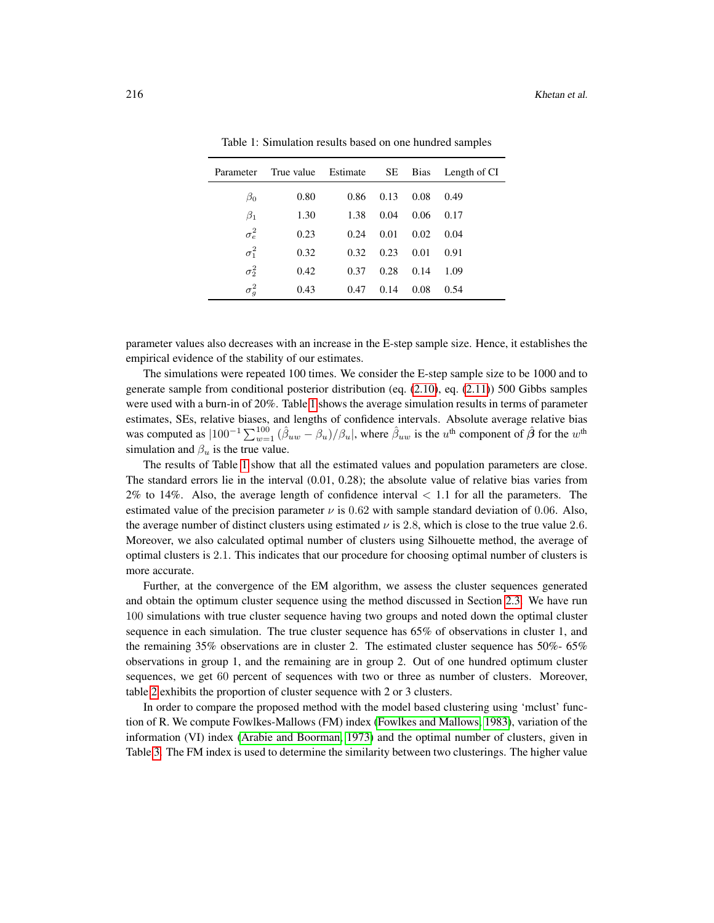| Parameter    | True value | Estimate | SЕ   | <b>Bias</b> | Length of CI |
|--------------|------------|----------|------|-------------|--------------|
| $\beta_0$    | 0.80       | 0.86     | 0.13 | 0.08        | 0.49         |
| $\beta_1$    | 1.30       | 1.38     | 0.04 | 0.06        | 0.17         |
| $\sigma_e^2$ | 0.23       | 0.24     | 0.01 | 0.02        | 0.04         |
| $\sigma_1^2$ | 0.32       | 0.32     | 0.23 | 0.01        | 0.91         |
| $\sigma_2^2$ | 0.42       | 0.37     | 0.28 | 0.14        | 1.09         |
| $\sigma_g^2$ | 0.43       | 0.47     | 0.14 | 0.08        | 0.54         |

<span id="page-9-0"></span>Table 1: Simulation results based on one hundred samples

parameter values also decreases with an increase in the E-step sample size. Hence, it establishes the empirical evidence of the stability of our estimates.

The simulations were repeated 100 times. We consider the E-step sample size to be 1000 and to generate sample from conditional posterior distribution (eq. [\(2.10\)](#page-6-1), eq. [\(2.11\)](#page-6-3)) 500 Gibbs samples were used with a burn-in of 20%. Table [1](#page-9-0) shows the average simulation results in terms of parameter estimates, SEs, relative biases, and lengths of confidence intervals. Absolute average relative bias was computed as  $|100^{-1} \sum_{w=1}^{100} (\hat{\beta}_{uw} - \beta_u)/\beta_u|$ , where  $\hat{\beta}_{uw}$  is the  $u^{\text{th}}$  component of  $\hat{\beta}$  for the  $w^{\text{th}}$ simulation and  $\beta_u$  is the true value.

The results of Table [1](#page-9-0) show that all the estimated values and population parameters are close. The standard errors lie in the interval (0.01, 0.28); the absolute value of relative bias varies from  $2\%$  to 14%. Also, the average length of confidence interval  $\lt 1.1$  for all the parameters. The estimated value of the precision parameter  $\nu$  is 0.62 with sample standard deviation of 0.06. Also, the average number of distinct clusters using estimated  $\nu$  is 2.8, which is close to the true value 2.6. Moreover, we also calculated optimal number of clusters using Silhouette method, the average of optimal clusters is 2.1. This indicates that our procedure for choosing optimal number of clusters is more accurate.

Further, at the convergence of the EM algorithm, we assess the cluster sequences generated and obtain the optimum cluster sequence using the method discussed in Section [2.3.](#page-8-1) We have run 100 simulations with true cluster sequence having two groups and noted down the optimal cluster sequence in each simulation. The true cluster sequence has 65% of observations in cluster 1, and the remaining 35% observations are in cluster 2. The estimated cluster sequence has 50%- 65% observations in group 1, and the remaining are in group 2. Out of one hundred optimum cluster sequences, we get 60 percent of sequences with two or three as number of clusters. Moreover, table [2](#page-10-1) exhibits the proportion of cluster sequence with 2 or 3 clusters.

In order to compare the proposed method with the model based clustering using 'mclust' function of R. We compute Fowlkes-Mallows (FM) index [\(Fowlkes and Mallows, 1983\)](#page-16-13), variation of the information (VI) index [\(Arabie and Boorman, 1973\)](#page-16-14) and the optimal number of clusters, given in Table [3.](#page-10-2) The FM index is used to determine the similarity between two clusterings. The higher value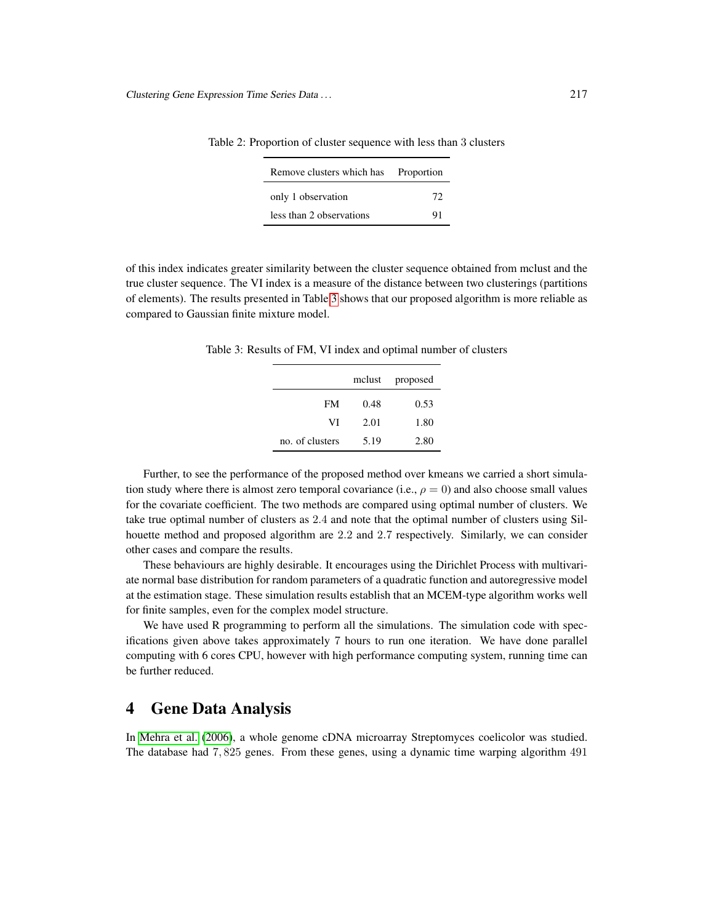<span id="page-10-1"></span>

| Remove clusters which has Proportion |    |
|--------------------------------------|----|
| only 1 observation                   | 72 |
| less than 2 observations             | 91 |

Table 2: Proportion of cluster sequence with less than 3 clusters

of this index indicates greater similarity between the cluster sequence obtained from mclust and the true cluster sequence. The VI index is a measure of the distance between two clusterings (partitions of elements). The results presented in Table [3](#page-10-2) shows that our proposed algorithm is more reliable as compared to Gaussian finite mixture model.

Table 3: Results of FM, VI index and optimal number of clusters

<span id="page-10-2"></span>

|                 | mclust | proposed |
|-----------------|--------|----------|
| FM              | 0.48   | 0.53     |
| VI              | 2.01   | 1.80     |
| no. of clusters | 5.19   | 2.80     |

Further, to see the performance of the proposed method over kmeans we carried a short simulation study where there is almost zero temporal covariance (i.e.,  $\rho = 0$ ) and also choose small values for the covariate coefficient. The two methods are compared using optimal number of clusters. We take true optimal number of clusters as 2.4 and note that the optimal number of clusters using Silhouette method and proposed algorithm are 2.2 and 2.7 respectively. Similarly, we can consider other cases and compare the results.

These behaviours are highly desirable. It encourages using the Dirichlet Process with multivariate normal base distribution for random parameters of a quadratic function and autoregressive model at the estimation stage. These simulation results establish that an MCEM-type algorithm works well for finite samples, even for the complex model structure.

We have used R programming to perform all the simulations. The simulation code with specifications given above takes approximately 7 hours to run one iteration. We have done parallel computing with 6 cores CPU, however with high performance computing system, running time can be further reduced.

# <span id="page-10-0"></span>4 Gene Data Analysis

In [Mehra et al.](#page-17-7) [\(2006\)](#page-17-7), a whole genome cDNA microarray Streptomyces coelicolor was studied. The database had 7, 825 genes. From these genes, using a dynamic time warping algorithm 491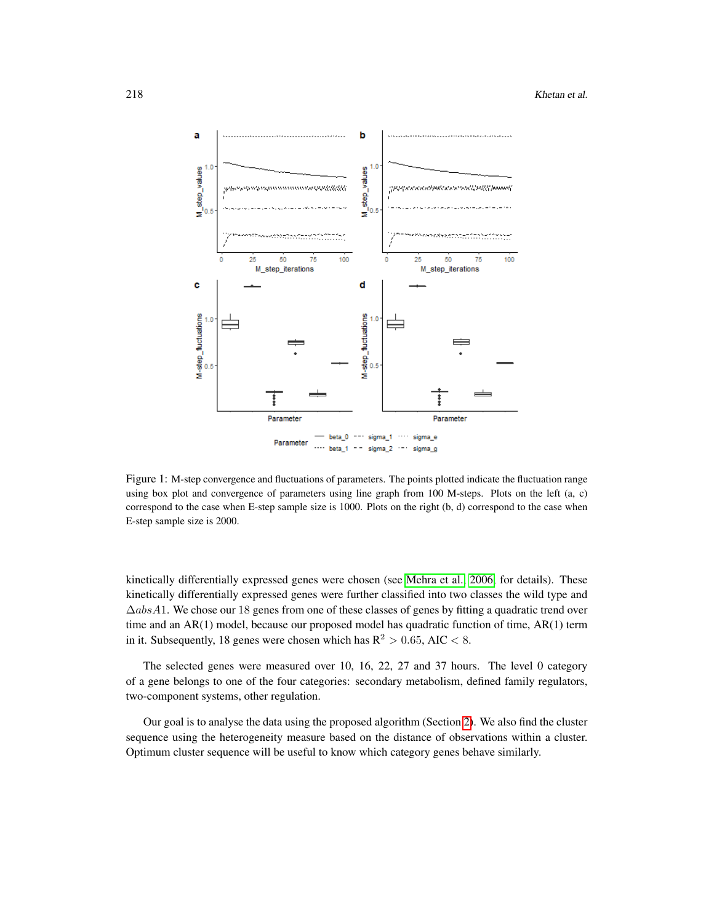

<span id="page-11-0"></span>Figure 1: M-step convergence and fluctuations of parameters. The points plotted indicate the fluctuation range using box plot and convergence of parameters using line graph from 100 M-steps. Plots on the left (a, c) correspond to the case when E-step sample size is 1000. Plots on the right (b, d) correspond to the case when E-step sample size is 2000.

kinetically differentially expressed genes were chosen (see [Mehra et al., 2006,](#page-17-7) for details). These kinetically differentially expressed genes were further classified into two classes the wild type and  $\Delta absA1$ . We chose our 18 genes from one of these classes of genes by fitting a quadratic trend over time and an  $AR(1)$  model, because our proposed model has quadratic function of time,  $AR(1)$  term in it. Subsequently, 18 genes were chosen which has  $R^2 > 0.65$ , AIC < 8.

The selected genes were measured over 10, 16, 22, 27 and 37 hours. The level 0 category of a gene belongs to one of the four categories: secondary metabolism, defined family regulators, two-component systems, other regulation.

Our goal is to analyse the data using the proposed algorithm (Section [2\)](#page-2-0). We also find the cluster sequence using the heterogeneity measure based on the distance of observations within a cluster. Optimum cluster sequence will be useful to know which category genes behave similarly.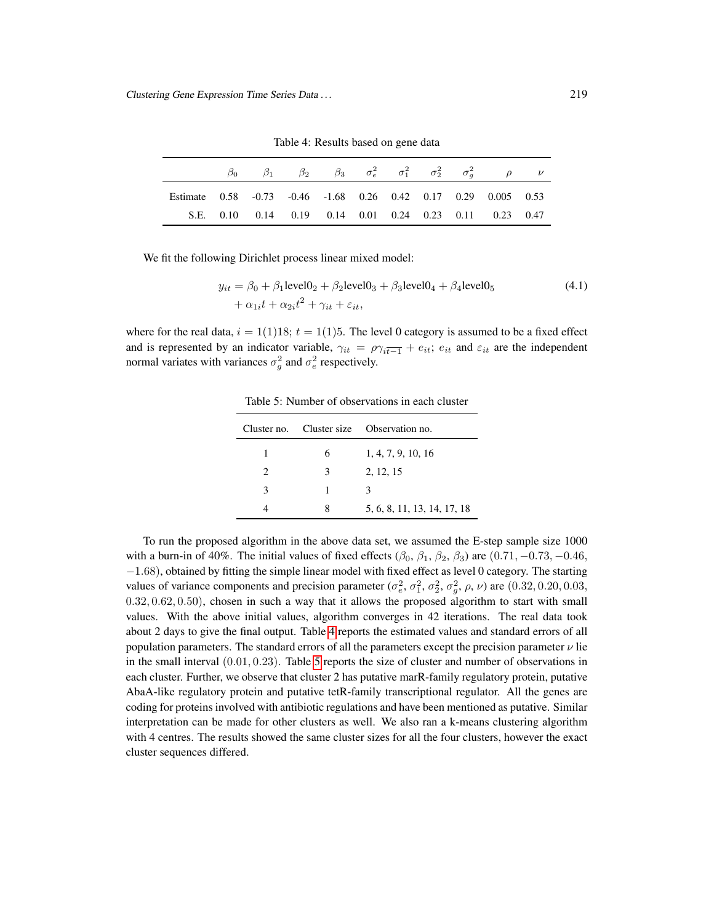|                                                                |  |  |  |  | $\beta_0$ $\beta_1$ $\beta_2$ $\beta_3$ $\sigma_e^2$ $\sigma_1^2$ $\sigma_2^2$ $\sigma_q^2$ $\rho$ $\nu$ |  |
|----------------------------------------------------------------|--|--|--|--|----------------------------------------------------------------------------------------------------------|--|
| Estimate 0.58 -0.73 -0.46 -1.68 0.26 0.42 0.17 0.29 0.005 0.53 |  |  |  |  |                                                                                                          |  |
|                                                                |  |  |  |  | S.E. 0.10 0.14 0.19 0.14 0.01 0.24 0.23 0.11 0.23 0.47                                                   |  |

<span id="page-12-0"></span>Table 4: Results based on gene data

We fit the following Dirichlet process linear mixed model:

$$
y_{it} = \beta_0 + \beta_1 \text{level0}_2 + \beta_2 \text{level0}_3 + \beta_3 \text{level0}_4 + \beta_4 \text{level0}_5
$$
  
+ 
$$
\alpha_{1i}t + \alpha_{2i}t^2 + \gamma_{it} + \varepsilon_{it},
$$
 (4.1)

where for the real data,  $i = 1(1)18$ ;  $t = 1(1)5$ . The level 0 category is assumed to be a fixed effect and is represented by an indicator variable,  $\gamma_{it} = \rho \gamma_{it} = + e_{it}$ ;  $e_{it}$  and  $\varepsilon_{it}$  are the independent normal variates with variances  $\sigma_g^2$  and  $\sigma_e^2$  respectively.

| Cluster no. | Cluster size | Observation no.             |
|-------------|--------------|-----------------------------|
|             | 6            | 1, 4, 7, 9, 10, 16          |
| 2           | 3            | 2, 12, 15                   |
| 3           | 1            | 3                           |
|             | x            | 5, 6, 8, 11, 13, 14, 17, 18 |

<span id="page-12-1"></span>Table 5: Number of observations in each cluster

To run the proposed algorithm in the above data set, we assumed the E-step sample size 1000 with a burn-in of 40%. The initial values of fixed effects ( $\beta_0$ ,  $\beta_1$ ,  $\beta_2$ ,  $\beta_3$ ) are (0.71, −0.73, −0.46, −1.68), obtained by fitting the simple linear model with fixed effect as level 0 category. The starting values of variance components and precision parameter  $(\sigma_e^2, \sigma_1^2, \sigma_2^2, \sigma_g^2, \rho, \nu)$  are  $(0.32, 0.20, 0.03,$ 0.32, 0.62, 0.50), chosen in such a way that it allows the proposed algorithm to start with small values. With the above initial values, algorithm converges in 42 iterations. The real data took about 2 days to give the final output. Table [4](#page-12-0) reports the estimated values and standard errors of all population parameters. The standard errors of all the parameters except the precision parameter  $\nu$  lie in the small interval (0.01, 0.23). Table [5](#page-12-1) reports the size of cluster and number of observations in each cluster. Further, we observe that cluster 2 has putative marR-family regulatory protein, putative AbaA-like regulatory protein and putative tetR-family transcriptional regulator. All the genes are coding for proteins involved with antibiotic regulations and have been mentioned as putative. Similar interpretation can be made for other clusters as well. We also ran a k-means clustering algorithm with 4 centres. The results showed the same cluster sizes for all the four clusters, however the exact cluster sequences differed.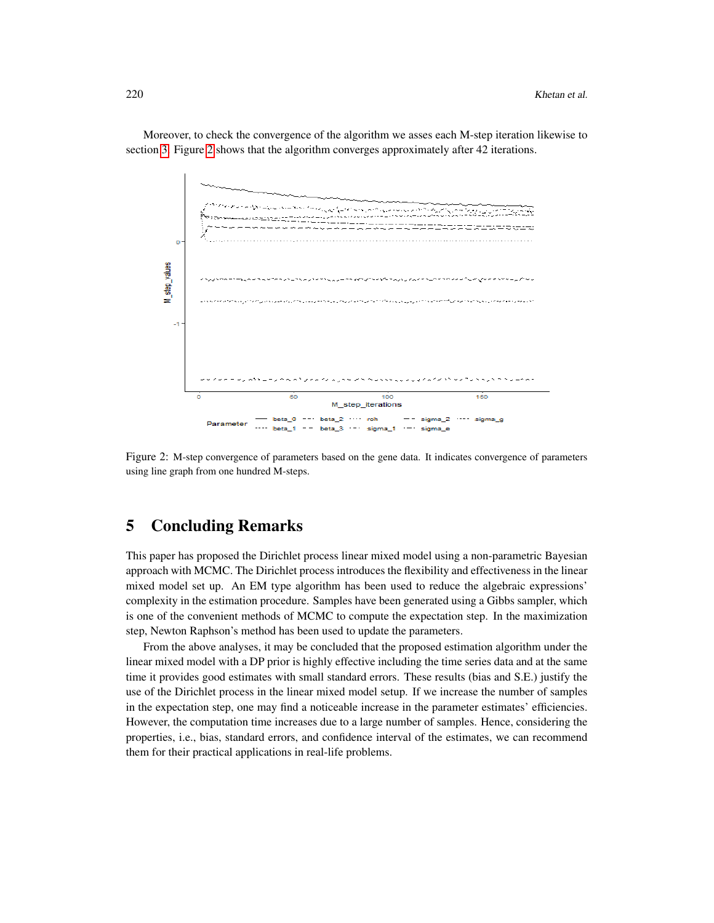Moreover, to check the convergence of the algorithm we asses each M-step iteration likewise to section [3.](#page-8-0) Figure [2](#page-13-1) shows that the algorithm converges approximately after 42 iterations.



<span id="page-13-1"></span>Figure 2: M-step convergence of parameters based on the gene data. It indicates convergence of parameters using line graph from one hundred M-steps.

# <span id="page-13-0"></span>5 Concluding Remarks

This paper has proposed the Dirichlet process linear mixed model using a non-parametric Bayesian approach with MCMC. The Dirichlet process introduces the flexibility and effectiveness in the linear mixed model set up. An EM type algorithm has been used to reduce the algebraic expressions' complexity in the estimation procedure. Samples have been generated using a Gibbs sampler, which is one of the convenient methods of MCMC to compute the expectation step. In the maximization step, Newton Raphson's method has been used to update the parameters.

From the above analyses, it may be concluded that the proposed estimation algorithm under the linear mixed model with a DP prior is highly effective including the time series data and at the same time it provides good estimates with small standard errors. These results (bias and S.E.) justify the use of the Dirichlet process in the linear mixed model setup. If we increase the number of samples in the expectation step, one may find a noticeable increase in the parameter estimates' efficiencies. However, the computation time increases due to a large number of samples. Hence, considering the properties, i.e., bias, standard errors, and confidence interval of the estimates, we can recommend them for their practical applications in real-life problems.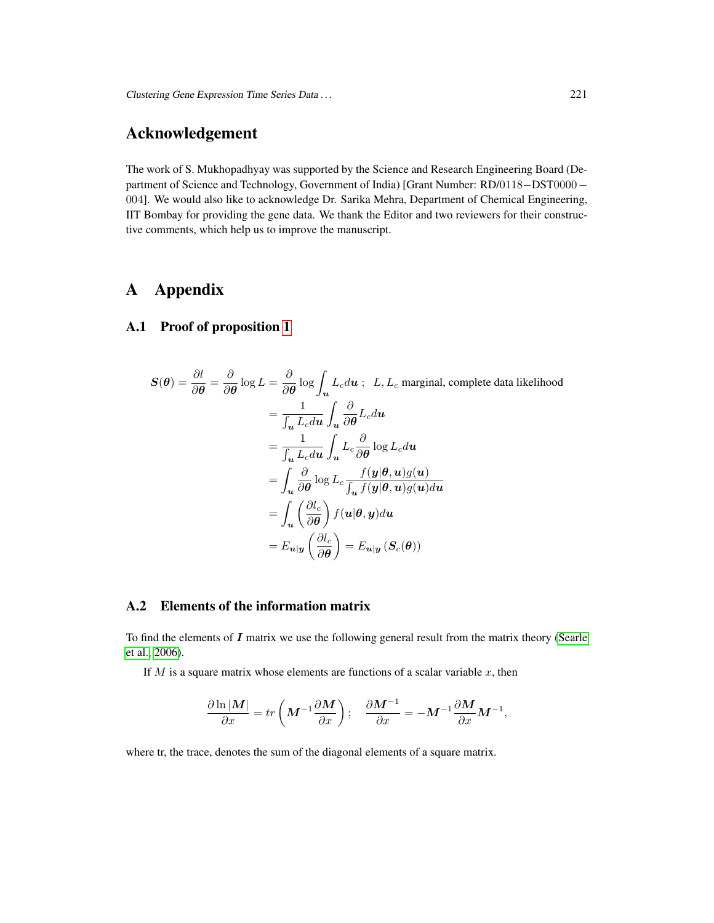# Acknowledgement

The work of S. Mukhopadhyay was supported by the Science and Research Engineering Board (Department of Science and Technology, Government of India) [Grant Number: RD/0118−DST0000− 004]. We would also like to acknowledge Dr. Sarika Mehra, Department of Chemical Engineering, IIT Bombay for providing the gene data. We thank the Editor and two reviewers for their constructive comments, which help us to improve the manuscript.

# A Appendix

### <span id="page-14-0"></span>A.1 Proof of proposition [1](#page-4-3)

$$
S(\theta) = \frac{\partial l}{\partial \theta} = \frac{\partial}{\partial \theta} \log L = \frac{\partial}{\partial \theta} \log \int_{u} L_{c} du \; ; \; L, L_{c} \text{ marginal, complete data likelihood}
$$

$$
= \frac{1}{\int_{u} L_{c} du} \int_{u} \frac{\partial}{\partial \theta} L_{c} du
$$

$$
= \frac{1}{\int_{u} L_{c} du} \int_{u} L_{c} \frac{\partial}{\partial \theta} \log L_{c} du
$$

$$
= \int_{u} \frac{\partial}{\partial \theta} \log L_{c} \frac{f(y|\theta, u)g(u)}{\int_{u} f(y|\theta, u)g(u) du}
$$

$$
= \int_{u} \left(\frac{\partial l_{c}}{\partial \theta}\right) f(u|\theta, y) du
$$

$$
= E_{u|y} \left(\frac{\partial l_{c}}{\partial \theta}\right) = E_{u|y} \left(S_{c}(\theta)\right)
$$

### <span id="page-14-1"></span>A.2 Elements of the information matrix

To find the elements of  $I$  matrix we use the following general result from the matrix theory [\(Searle](#page-17-9) [et al., 2006\)](#page-17-9).

If  $M$  is a square matrix whose elements are functions of a scalar variable  $x$ , then

$$
\frac{\partial \ln |M|}{\partial x} = tr\left(M^{-1}\frac{\partial M}{\partial x}\right); \quad \frac{\partial M^{-1}}{\partial x} = -M^{-1}\frac{\partial M}{\partial x}M^{-1},
$$

where tr, the trace, denotes the sum of the diagonal elements of a square matrix.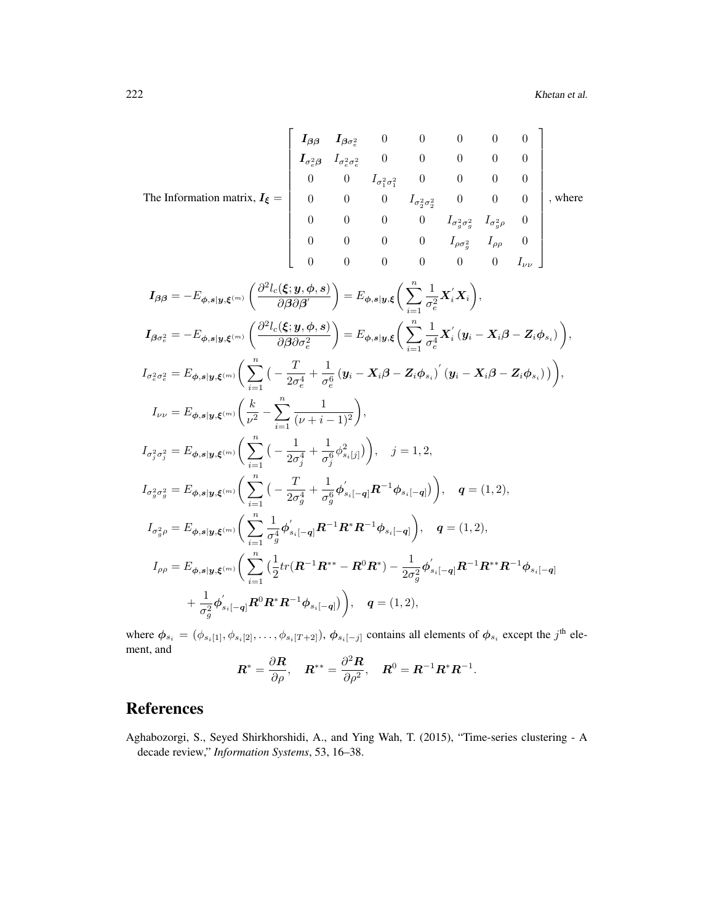$$
\begin{bmatrix}\nI_{\beta\beta} & I_{\beta\sigma_e^2} & 0 & 0 & 0 & 0 & 0 \\
I_{\sigma_e^2\beta} & I_{\sigma_e^2\sigma_e^2} & 0 & 0 & 0 & 0 & 0 \\
0 & 0 & I_{\sigma_1^2\sigma_1^2} & 0 & 0 & 0 & 0 \\
0 & 0 & 0 & I_{\sigma_2^2\sigma_2^2} & 0 & 0 & 0 \\
0 & 0 & 0 & 0 & I_{\sigma_g^2\sigma_g^2} & I_{\sigma_g^2\rho} & 0 \\
0 & 0 & 0 & 0 & I_{\rho\sigma_g^2} & I_{\rho\rho} & 0 \\
0 & 0 & 0 & 0 & 0 & 0 & I_{\nu\nu}\n\end{bmatrix}, \text{ where}
$$

$$
I_{\beta\beta} = -E_{\phi,s|y,\xi^{(m)}} \left( \frac{\partial^2 l_c(\xi; y, \phi, s)}{\partial \beta \partial \beta'} \right) = E_{\phi,s|y,\xi} \left( \sum_{i=1}^n \frac{1}{\sigma_e^2} X_i' X_i \right),
$$
  
\n
$$
I_{\beta\sigma_e^2} = -E_{\phi,s|y,\xi^{(m)}} \left( \frac{\partial^2 l_c(\xi; y, \phi, s)}{\partial \beta \partial \sigma_e^2} \right) = E_{\phi,s|y,\xi} \left( \sum_{i=1}^n \frac{1}{\sigma_e^4} X_i' (y_i - X_i \beta - Z_i \phi_{s_i}) \right),
$$
  
\n
$$
I_{\sigma_e^2 \sigma_e^2} = E_{\phi,s|y,\xi^{(m)}} \left( \sum_{i=1}^n \left( -\frac{T}{2\sigma_e^4} + \frac{1}{\sigma_e^6} (y_i - X_i \beta - Z_i \phi_{s_i})' (y_i - X_i \beta - Z_i \phi_{s_i}) \right) \right),
$$
  
\n
$$
I_{\nu\nu} = E_{\phi,s|y,\xi^{(m)}} \left( \sum_{\nu=1}^n \frac{1}{(\nu + i - 1)^2} \right),
$$
  
\n
$$
I_{\sigma_g^2 \sigma_g^2} = E_{\phi,s|y,\xi^{(m)}} \left( \sum_{i=1}^n \left( -\frac{1}{2\sigma_f^4} + \frac{1}{\sigma_g^6} \phi_{s_i[j]}^2 \right) \right), \quad j = 1, 2,
$$
  
\n
$$
I_{\sigma_g^2 \sigma_g^2} = E_{\phi,s|y,\xi^{(m)}} \left( \sum_{i=1}^n \frac{1}{\sigma_g^4} \phi_{s_i[-q]}^4 R^{-1} R^{-1} \phi_{s_i[-q]} \right), \quad q = (1, 2),
$$
  
\n
$$
I_{\sigma_g^2 \rho} = E_{\phi,s|y,\xi^{(m)}} \left( \sum_{i=1}^n \frac{1}{\sigma_g^4} \phi_{s_i[-q]}^4 R^{-1} R^* R^{-1} \phi_{s_i[-q]} \right), \quad q = (1, 2),
$$
  
\n
$$
I_{\rho\rho} = E_{\phi,s|y,\xi^{(m)}} \left( \sum_{i=1}^
$$

where  $\phi_{s_i} = (\phi_{s_i[1]}, \phi_{s_i[2]}, \dots, \phi_{s_i[T+2]}), \phi_{s_i[-j]}$  contains all elements of  $\phi_{s_i}$  except the j<sup>th</sup> element, and

$$
\boldsymbol{R}^*=\frac{\partial \boldsymbol{R}}{\partial \rho}, \quad \boldsymbol{R}^{**}=\frac{\partial^2 \boldsymbol{R}}{\partial \rho^2}, \quad \boldsymbol{R}^0=\boldsymbol{R}^{-1}\boldsymbol{R}^*\boldsymbol{R}^{-1}.
$$

# References

<span id="page-15-0"></span>Aghabozorgi, S., Seyed Shirkhorshidi, A., and Ying Wah, T. (2015), "Time-series clustering - A decade review," *Information Systems*, 53, 16–38.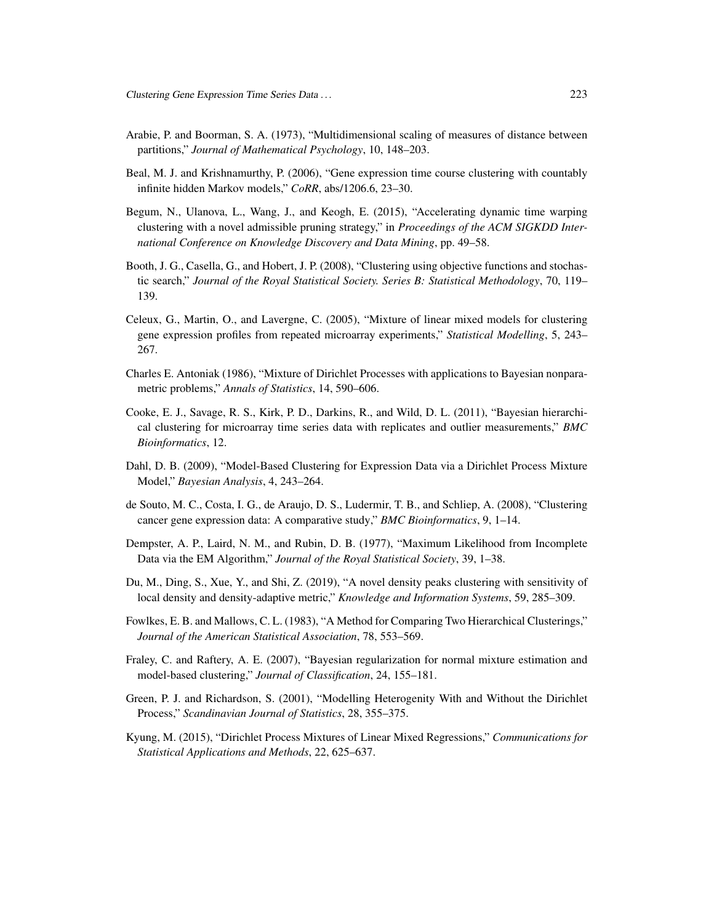- <span id="page-16-14"></span>Arabie, P. and Boorman, S. A. (1973), "Multidimensional scaling of measures of distance between partitions," *Journal of Mathematical Psychology*, 10, 148–203.
- <span id="page-16-5"></span>Beal, M. J. and Krishnamurthy, P. (2006), "Gene expression time course clustering with countably infinite hidden Markov models," *CoRR*, abs/1206.6, 23–30.
- <span id="page-16-1"></span>Begum, N., Ulanova, L., Wang, J., and Keogh, E. (2015), "Accelerating dynamic time warping clustering with a novel admissible pruning strategy," in *Proceedings of the ACM SIGKDD International Conference on Knowledge Discovery and Data Mining*, pp. 49–58.
- <span id="page-16-7"></span>Booth, J. G., Casella, G., and Hobert, J. P. (2008), "Clustering using objective functions and stochastic search," *Journal of the Royal Statistical Society. Series B: Statistical Methodology*, 70, 119– 139.
- <span id="page-16-4"></span>Celeux, G., Martin, O., and Lavergne, C. (2005), "Mixture of linear mixed models for clustering gene expression profiles from repeated microarray experiments," *Statistical Modelling*, 5, 243– 267.
- <span id="page-16-11"></span>Charles E. Antoniak (1986), "Mixture of Dirichlet Processes with applications to Bayesian nonparametric problems," *Annals of Statistics*, 14, 590–606.
- <span id="page-16-8"></span>Cooke, E. J., Savage, R. S., Kirk, P. D., Darkins, R., and Wild, D. L. (2011), "Bayesian hierarchical clustering for microarray time series data with replicates and outlier measurements," *BMC Bioinformatics*, 12.
- <span id="page-16-10"></span>Dahl, D. B. (2009), "Model-Based Clustering for Expression Data via a Dirichlet Process Mixture Model," *Bayesian Analysis*, 4, 243–264.
- <span id="page-16-0"></span>de Souto, M. C., Costa, I. G., de Araujo, D. S., Ludermir, T. B., and Schliep, A. (2008), "Clustering cancer gene expression data: A comparative study," *BMC Bioinformatics*, 9, 1–14.
- <span id="page-16-12"></span>Dempster, A. P., Laird, N. M., and Rubin, D. B. (1977), "Maximum Likelihood from Incomplete Data via the EM Algorithm," *Journal of the Royal Statistical Society*, 39, 1–38.
- <span id="page-16-2"></span>Du, M., Ding, S., Xue, Y., and Shi, Z. (2019), "A novel density peaks clustering with sensitivity of local density and density-adaptive metric," *Knowledge and Information Systems*, 59, 285–309.
- <span id="page-16-13"></span>Fowlkes, E. B. and Mallows, C. L. (1983), "A Method for Comparing Two Hierarchical Clusterings," *Journal of the American Statistical Association*, 78, 553–569.
- <span id="page-16-6"></span>Fraley, C. and Raftery, A. E. (2007), "Bayesian regularization for normal mixture estimation and model-based clustering," *Journal of Classification*, 24, 155–181.
- <span id="page-16-3"></span>Green, P. J. and Richardson, S. (2001), "Modelling Heterogenity With and Without the Dirichlet Process," *Scandinavian Journal of Statistics*, 28, 355–375.
- <span id="page-16-9"></span>Kyung, M. (2015), "Dirichlet Process Mixtures of Linear Mixed Regressions," *Communications for Statistical Applications and Methods*, 22, 625–637.